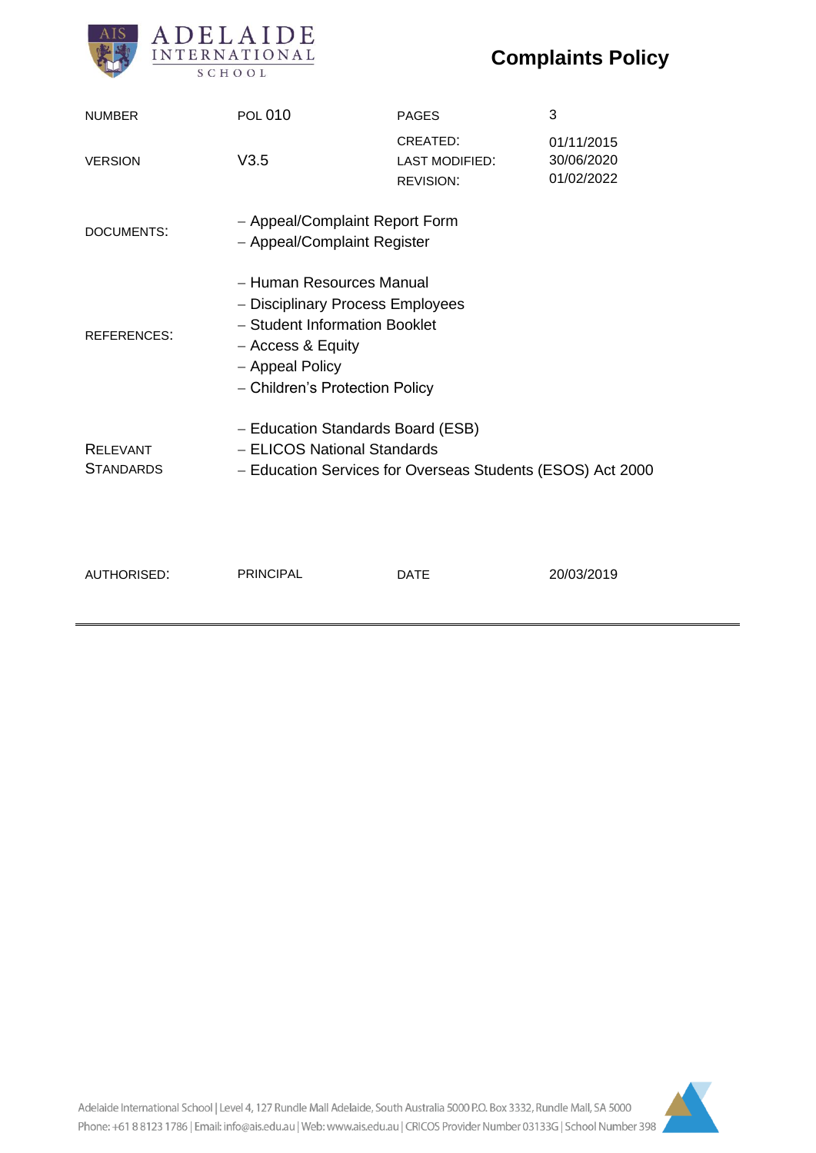# **Complaints Policy**



| <b>NUMBER</b>                       | <b>POL 010</b>                                                                                                                                                          | <b>PAGES</b>                                          | 3                                      |
|-------------------------------------|-------------------------------------------------------------------------------------------------------------------------------------------------------------------------|-------------------------------------------------------|----------------------------------------|
| <b>VERSION</b>                      | V3.5                                                                                                                                                                    | CREATED:<br><b>LAST MODIFIED:</b><br><b>REVISION:</b> | 01/11/2015<br>30/06/2020<br>01/02/2022 |
| DOCUMENTS:                          | - Appeal/Complaint Report Form<br>- Appeal/Complaint Register                                                                                                           |                                                       |                                        |
| <b>REFERENCES:</b>                  | - Human Resources Manual<br>- Disciplinary Process Employees<br>- Student Information Booklet<br>- Access & Equity<br>- Appeal Policy<br>- Children's Protection Policy |                                                       |                                        |
| <b>RELEVANT</b><br><b>STANDARDS</b> | - Education Standards Board (ESB)<br>- ELICOS National Standards<br>- Education Services for Overseas Students (ESOS) Act 2000                                          |                                                       |                                        |
| <b>AUTHORISED:</b>                  | <b>PRINCIPAL</b>                                                                                                                                                        | DATE                                                  | 20/03/2019                             |

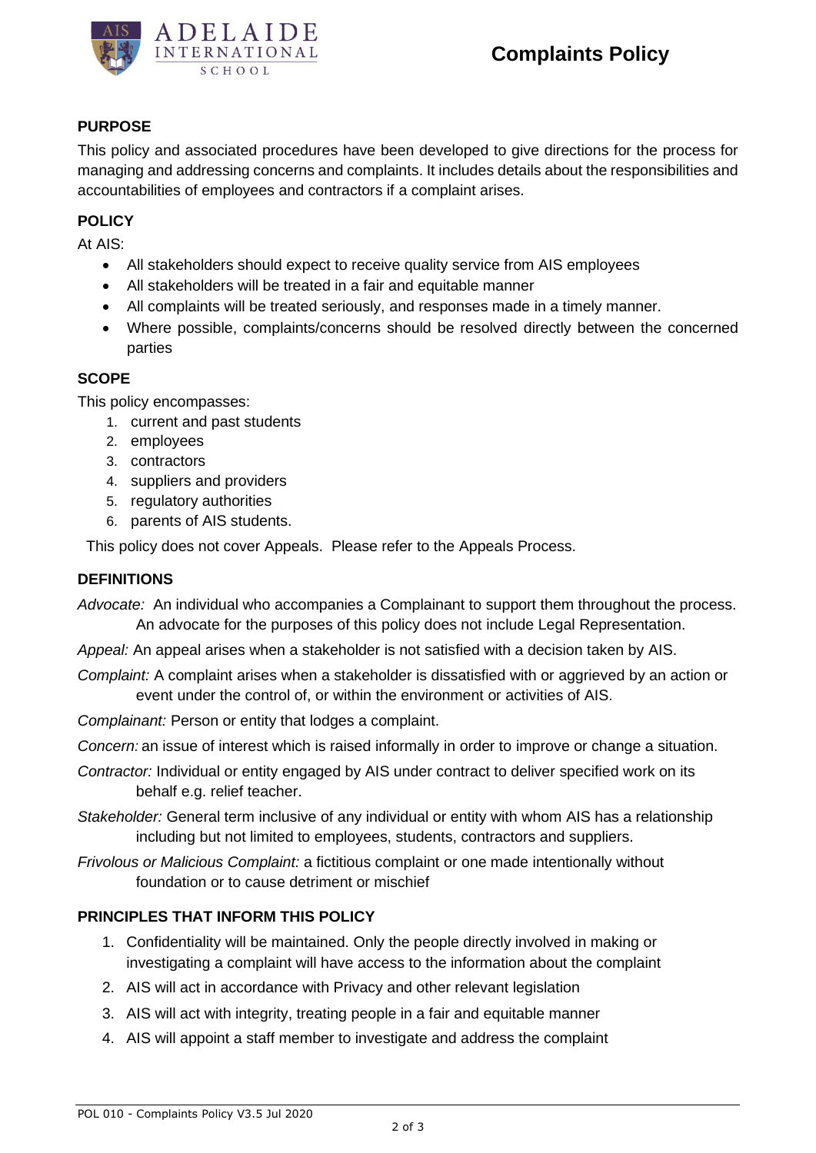

## **PURPOSE**

This policy and associated procedures have been developed to give directions for the process for managing and addressing concerns and complaints. It includes details about the responsibilities and accountabilities of employees and contractors if a complaint arises.

#### **POLICY**

At AIS:

- All stakeholders should expect to receive quality service from AIS employees
- All stakeholders will be treated in a fair and equitable manner
- All complaints will be treated seriously, and responses made in a timely manner.
- Where possible, complaints/concerns should be resolved directly between the concerned parties

## **SCOPE**

This policy encompasses:

- 1. current and past students
- 2. employees
- 3. contractors
- 4. suppliers and providers
- 5. regulatory authorities
- 6. parents of AIS students.

This policy does not cover Appeals. Please refer to the Appeals Process.

#### **DEFINITIONS**

*Advocate:* An individual who accompanies a Complainant to support them throughout the process. An advocate for the purposes of this policy does not include Legal Representation.

*Appeal:* An appeal arises when a stakeholder is not satisfied with a decision taken by AIS.

*Complaint:* A complaint arises when a stakeholder is dissatisfied with or aggrieved by an action or event under the control of, or within the environment or activities of AIS.

*Complainant:* Person or entity that lodges a complaint.

*Concern:* an issue of interest which is raised informally in order to improve or change a situation.

- *Contractor:* Individual or entity engaged by AIS under contract to deliver specified work on its behalf e.g. relief teacher.
- *Stakeholder:* General term inclusive of any individual or entity with whom AIS has a relationship including but not limited to employees, students, contractors and suppliers.
- *Frivolous or Malicious Complaint:* a fictitious complaint or one made intentionally without foundation or to cause detriment or mischief

## **PRINCIPLES THAT INFORM THIS POLICY**

- 1. Confidentiality will be maintained. Only the people directly involved in making or investigating a complaint will have access to the information about the complaint
- 2. AIS will act in accordance with Privacy and other relevant legislation
- 3. AIS will act with integrity, treating people in a fair and equitable manner
- 4. AIS will appoint a staff member to investigate and address the complaint